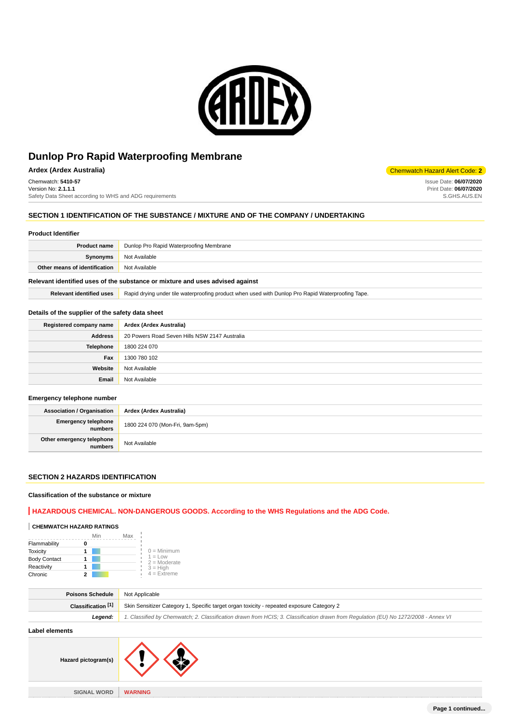

**Ardex (Ardex Australia)** Chemwatch Hazard Alert Code: **2**

Chemwatch: **5410-57** Version No: **2.1.1.1**

Safety Data Sheet according to WHS and ADG requirements

## **SECTION 1 IDENTIFICATION OF THE SUBSTANCE / MIXTURE AND OF THE COMPANY / UNDERTAKING**

#### **Product Identifier**

| <b>Product name</b>           | Dunlop Pro Rapid Waterproofing Membrane |
|-------------------------------|-----------------------------------------|
| Synonyms                      | Not Available                           |
| Other means of identification | Not Available                           |
|                               |                                         |

### **Relevant identified uses of the substance or mixture and uses advised against**

Relevant identified uses **Rapid drying under tile waterproofing product when used with Dunlop Pro Rapid Waterproofing Tape.** 

#### **Details of the supplier of the safety data sheet**

| Registered company name | Ardex (Ardex Australia)                       |
|-------------------------|-----------------------------------------------|
| <b>Address</b>          | 20 Powers Road Seven Hills NSW 2147 Australia |
| <b>Telephone</b>        | 1800 224 070                                  |
| Fax                     | 1300 780 102                                  |
| Website                 | Not Available                                 |
| Email                   | Not Available                                 |

#### **Emergency telephone number**

| <b>Association / Organisation</b>    | Ardex (Ardex Australia)         |
|--------------------------------------|---------------------------------|
| Emergency telephone<br>numbers       | 1800 224 070 (Mon-Fri, 9am-5pm) |
| Other emergency telephone<br>numbers | Not Available                   |

#### **SECTION 2 HAZARDS IDENTIFICATION**

#### **Classification of the substance or mixture**

#### **HAZARDOUS CHEMICAL. NON-DANGEROUS GOODS. According to the WHS Regulations and the ADG Code.**

### **CHEMWATCH HAZARD RATINGS**

|                     | Min | Max |                             |
|---------------------|-----|-----|-----------------------------|
| Flammability        |     |     |                             |
| <b>Toxicity</b>     |     |     | $0 =$ Minimum               |
| <b>Body Contact</b> |     |     | $1 = Low$<br>$2 =$ Moderate |
| Reactivity          |     |     | $3 = High$                  |
| Chronic             |     |     | $4$ = Extreme               |

| <b>Poisons Schedule</b> | Not Applicable                                                                                                                      |
|-------------------------|-------------------------------------------------------------------------------------------------------------------------------------|
| Classification [1]      | Skin Sensitizer Category 1, Specific target organ toxicity - repeated exposure Category 2                                           |
| Leaend:                 | 1. Classified by Chemwatch; 2. Classification drawn from HCIS; 3. Classification drawn from Requlation (EU) No 1272/2008 - Annex VI |
|                         |                                                                                                                                     |

### **Label elements**

| Hazard pictogram(s) |                |
|---------------------|----------------|
|                     |                |
| <b>SIGNAL WORD</b>  | <b>WARNING</b> |

Issue Date: **06/07/2020** Print Date: **06/07/2020** S.GHS.AUS.EN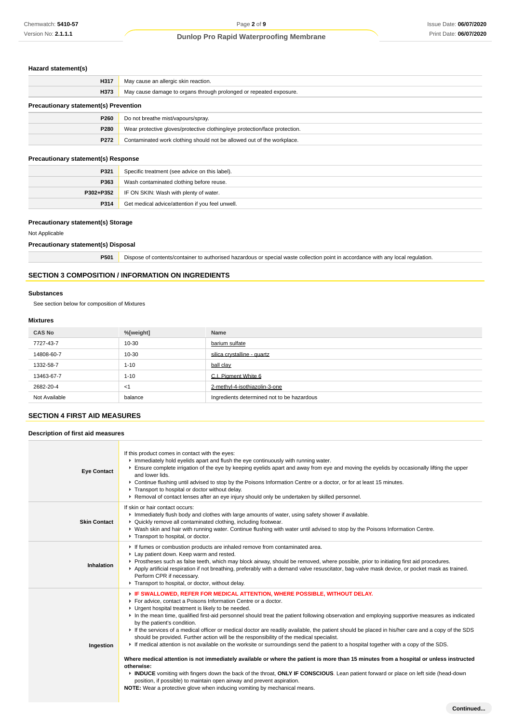### **Hazard statement(s)**

| H317                                         | May cause an allergic skin reaction.                                       |  |
|----------------------------------------------|----------------------------------------------------------------------------|--|
| H373                                         | May cause damage to organs through prolonged or repeated exposure.         |  |
| <b>Precautionary statement(s) Prevention</b> |                                                                            |  |
| P260                                         | Do not breathe mist/vapours/spray.                                         |  |
| P280                                         | Wear protective gloves/protective clothing/eye protection/face protection. |  |
| P272                                         | Contaminated work clothing should not be allowed out of the workplace.     |  |

#### **Precautionary statement(s) Response**

| P321 | Specific treatment (see advice on this label).          |
|------|---------------------------------------------------------|
| P363 | Wash contaminated clothing before reuse.                |
|      | <b>P302+P352</b> IF ON SKIN: Wash with plenty of water. |
| P314 | Get medical advice/attention if you feel unwell.        |

### **Precautionary statement(s) Storage**

Not Applicable

## **Precautionary statement(s) Disposal**

**P501** Dispose of contents/container to authorised hazardous or special waste collection point in accordance with any local regulation.

#### **SECTION 3 COMPOSITION / INFORMATION ON INGREDIENTS**

#### **Substances**

See section below for composition of Mixtures

#### **Mixtures**

| <b>CAS No</b> | %[weight] | Name                                       |
|---------------|-----------|--------------------------------------------|
| 7727-43-7     | $10 - 30$ | barium sulfate                             |
| 14808-60-7    | 10-30     | silica crystalline - quartz                |
| 1332-58-7     | $1 - 10$  | ball clay                                  |
| 13463-67-7    | $1 - 10$  | C.I. Piament White 6                       |
| 2682-20-4     | $<$ 1     | 2-methyl-4-isothiazolin-3-one              |
| Not Available | balance   | Ingredients determined not to be hazardous |

### **SECTION 4 FIRST AID MEASURES**

#### **Description of first aid measures**

| <b>Eye Contact</b>  | If this product comes in contact with the eyes:<br>Immediately hold eyelids apart and flush the eye continuously with running water.<br>Ensure complete irrigation of the eye by keeping eyelids apart and away from eye and moving the eyelids by occasionally lifting the upper<br>and lower lids.<br>▶ Continue flushing until advised to stop by the Poisons Information Centre or a doctor, or for at least 15 minutes.<br>Transport to hospital or doctor without delay.<br>► Removal of contact lenses after an eye injury should only be undertaken by skilled personnel.                                                                                                                                                                                                                                                                                                                                                                                                                                                                                                                                                                                                                                                 |
|---------------------|-----------------------------------------------------------------------------------------------------------------------------------------------------------------------------------------------------------------------------------------------------------------------------------------------------------------------------------------------------------------------------------------------------------------------------------------------------------------------------------------------------------------------------------------------------------------------------------------------------------------------------------------------------------------------------------------------------------------------------------------------------------------------------------------------------------------------------------------------------------------------------------------------------------------------------------------------------------------------------------------------------------------------------------------------------------------------------------------------------------------------------------------------------------------------------------------------------------------------------------|
| <b>Skin Contact</b> | If skin or hair contact occurs:<br>Immediately flush body and clothes with large amounts of water, using safety shower if available.<br>• Quickly remove all contaminated clothing, including footwear.<br>▶ Wash skin and hair with running water. Continue flushing with water until advised to stop by the Poisons Information Centre.<br>Transport to hospital, or doctor.                                                                                                                                                                                                                                                                                                                                                                                                                                                                                                                                                                                                                                                                                                                                                                                                                                                    |
| Inhalation          | If fumes or combustion products are inhaled remove from contaminated area.<br>Lay patient down. Keep warm and rested.<br>▶ Prostheses such as false teeth, which may block airway, should be removed, where possible, prior to initiating first aid procedures.<br>Apply artificial respiration if not breathing, preferably with a demand valve resuscitator, bag-valve mask device, or pocket mask as trained.<br>Perform CPR if necessary.<br>Transport to hospital, or doctor, without delay.                                                                                                                                                                                                                                                                                                                                                                                                                                                                                                                                                                                                                                                                                                                                 |
| Ingestion           | F IF SWALLOWED, REFER FOR MEDICAL ATTENTION, WHERE POSSIBLE, WITHOUT DELAY.<br>For advice, contact a Poisons Information Centre or a doctor.<br>• Urgent hospital treatment is likely to be needed.<br>In the mean time, qualified first-aid personnel should treat the patient following observation and employing supportive measures as indicated<br>by the patient's condition.<br>If the services of a medical officer or medical doctor are readily available, the patient should be placed in his/her care and a copy of the SDS<br>should be provided. Further action will be the responsibility of the medical specialist.<br>If medical attention is not available on the worksite or surroundings send the patient to a hospital together with a copy of the SDS.<br>Where medical attention is not immediately available or where the patient is more than 15 minutes from a hospital or unless instructed<br>otherwise:<br>INDUCE vomiting with fingers down the back of the throat, ONLY IF CONSCIOUS. Lean patient forward or place on left side (head-down<br>position, if possible) to maintain open airway and prevent aspiration.<br>NOTE: Wear a protective glove when inducing vomiting by mechanical means. |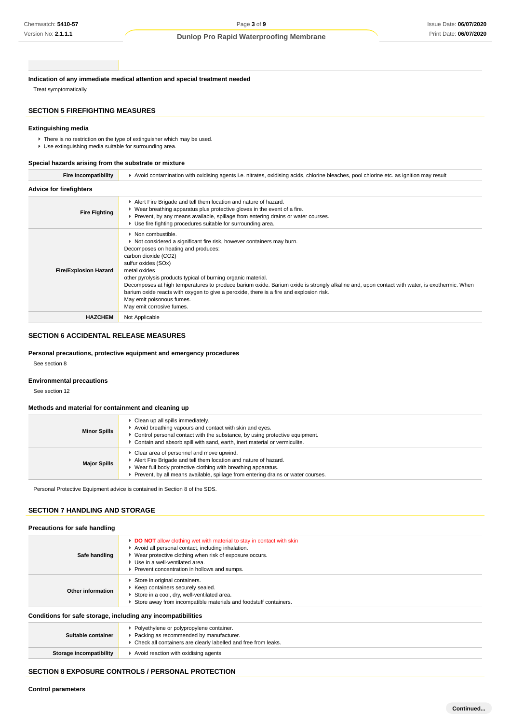**Indication of any immediate medical attention and special treatment needed**

Treat symptomatically.

### **SECTION 5 FIREFIGHTING MEASURES**

#### **Extinguishing media**

There is no restriction on the type of extinguisher which may be used.

Use extinguishing media suitable for surrounding area.

#### **Special hazards arising from the substrate or mixture**

| <b>Fire Incompatibility</b>    | Avoid contamination with oxidising agents i.e. nitrates, oxidising acids, chlorine bleaches, pool chlorine etc. as ignition may result                                                                                                                                                                                                                                                                                                                                                                                                                                 |
|--------------------------------|------------------------------------------------------------------------------------------------------------------------------------------------------------------------------------------------------------------------------------------------------------------------------------------------------------------------------------------------------------------------------------------------------------------------------------------------------------------------------------------------------------------------------------------------------------------------|
| <b>Advice for firefighters</b> |                                                                                                                                                                                                                                                                                                                                                                                                                                                                                                                                                                        |
| <b>Fire Fighting</b>           | Alert Fire Brigade and tell them location and nature of hazard.<br>$\blacktriangleright$ Wear breathing apparatus plus protective gloves in the event of a fire.<br>▶ Prevent, by any means available, spillage from entering drains or water courses.<br>▶ Use fire fighting procedures suitable for surrounding area.                                                                                                                                                                                                                                                |
| <b>Fire/Explosion Hazard</b>   | • Non combustible.<br>Not considered a significant fire risk, however containers may burn.<br>Decomposes on heating and produces:<br>carbon dioxide (CO2)<br>sulfur oxides (SOx)<br>metal oxides<br>other pyrolysis products typical of burning organic material.<br>Decomposes at high temperatures to produce barium oxide. Barium oxide is strongly alkaline and, upon contact with water, is exothermic. When<br>barium oxide reacts with oxygen to give a peroxide, there is a fire and explosion risk.<br>May emit poisonous fumes.<br>May emit corrosive fumes. |
| <b>HAZCHEM</b>                 | Not Applicable                                                                                                                                                                                                                                                                                                                                                                                                                                                                                                                                                         |

### **SECTION 6 ACCIDENTAL RELEASE MEASURES**

### **Personal precautions, protective equipment and emergency procedures**

See section 8

#### **Environmental precautions**

See section 12

#### **Methods and material for containment and cleaning up**

| <b>Minor Spills</b> | Clean up all spills immediately.<br>Avoid breathing vapours and contact with skin and eyes.<br>$\triangleright$ Control personal contact with the substance, by using protective equipment.<br>Contain and absorb spill with sand, earth, inert material or vermiculite. |
|---------------------|--------------------------------------------------------------------------------------------------------------------------------------------------------------------------------------------------------------------------------------------------------------------------|
| <b>Major Spills</b> | • Clear area of personnel and move upwind.<br>Alert Fire Brigade and tell them location and nature of hazard.<br>▶ Wear full body protective clothing with breathing apparatus.<br>▶ Prevent, by all means available, spillage from entering drains or water courses.    |

Personal Protective Equipment advice is contained in Section 8 of the SDS.

### **SECTION 7 HANDLING AND STORAGE**

| Safe handling                                                | <b>DO NOT</b> allow clothing wet with material to stay in contact with skin<br>Avoid all personal contact, including inhalation.<br>• Wear protective clothing when risk of exposure occurs.<br>▶ Use in a well-ventilated area.<br>Prevent concentration in hollows and sumps. |  |  |
|--------------------------------------------------------------|---------------------------------------------------------------------------------------------------------------------------------------------------------------------------------------------------------------------------------------------------------------------------------|--|--|
| Other information                                            | Store in original containers.<br>▶ Keep containers securely sealed.<br>Store in a cool, dry, well-ventilated area.<br>Store away from incompatible materials and foodstuff containers.                                                                                          |  |  |
| Conditions for safe storage, including any incompatibilities |                                                                                                                                                                                                                                                                                 |  |  |
| Suitable container                                           | • Polyethylene or polypropylene container.<br>▶ Packing as recommended by manufacturer.<br>• Check all containers are clearly labelled and free from leaks.                                                                                                                     |  |  |

**Storage incompatibility F** Avoid reaction with oxidising agents

## **SECTION 8 EXPOSURE CONTROLS / PERSONAL PROTECTION**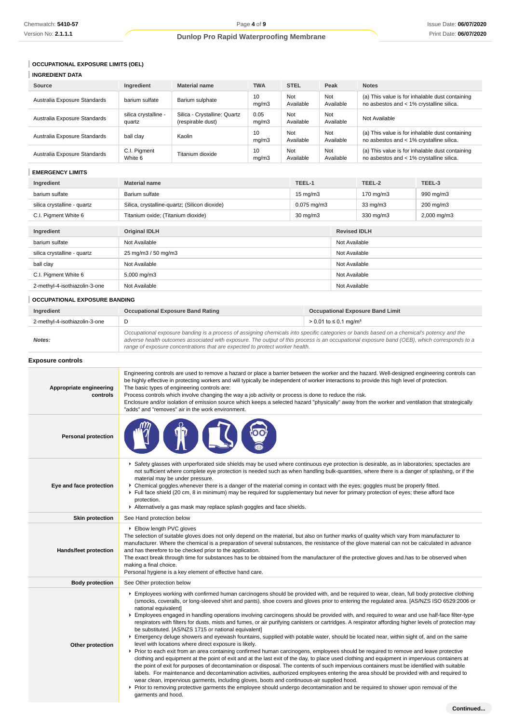### **OCCUPATIONAL EXPOSURE LIMITS (OEL) INGREDIENT DATA**

| Source                       | Ingredient                     | <b>Material name</b>                              | <b>TWA</b>    | <b>STEL</b>      | Peak             | <b>Notes</b>                                                                                |
|------------------------------|--------------------------------|---------------------------------------------------|---------------|------------------|------------------|---------------------------------------------------------------------------------------------|
| Australia Exposure Standards | barium sulfate                 | Barium sulphate                                   | 10<br>mq/m3   | Not<br>Available | Not<br>Available | (a) This value is for inhalable dust containing<br>no asbestos and < 1% crystalline silica. |
| Australia Exposure Standards | silica crystalline -<br>quartz | Silica - Crystalline: Quartz<br>(respirable dust) | 0.05<br>mq/m3 | Not<br>Available | Not<br>Available | Not Available                                                                               |
| Australia Exposure Standards | ball clay                      | Kaolin                                            | 10<br>mq/m3   | Not<br>Available | Not<br>Available | (a) This value is for inhalable dust containing<br>no asbestos and < 1% crystalline silica. |
| Australia Exposure Standards | C.I. Pigment<br>White 6        | Titanium dioxide                                  | 10<br>mq/m3   | Not<br>Available | Not<br>Available | (a) This value is for inhalable dust containing<br>no asbestos and < 1% crystalline silica. |

### **EMERGENCY LIMITS**

| Ingredient                    | <b>Material name</b>                          | TEEL-1            |               | TEEL-2              | TEEL-3                  |
|-------------------------------|-----------------------------------------------|-------------------|---------------|---------------------|-------------------------|
| barium sulfate                | Barium sulfate                                | $15 \text{ mg/m}$ |               | 170 mg/m3           | 990 mg/m3               |
| silica crystalline - quartz   | Silica, crystalline-quartz; (Silicon dioxide) | $0.075$ mg/m $3$  |               | $33 \text{ mg/m}$   | 200 mg/m3               |
| C.I. Pigment White 6          | Titanium oxide; (Titanium dioxide)            | $30 \text{ mg/m}$ |               | 330 mg/m3           | $2,000 \,\mathrm{mg/m}$ |
|                               |                                               |                   |               |                     |                         |
| Ingredient                    | <b>Original IDLH</b>                          |                   |               | <b>Revised IDLH</b> |                         |
| barium sulfate                | Not Available                                 |                   |               | Not Available       |                         |
| silica crystalline - quartz   | 25 mg/m3 / 50 mg/m3                           |                   |               | Not Available       |                         |
| ball clay                     | Not Available                                 |                   | Not Available |                     |                         |
| C.I. Pigment White 6          | 5,000 mg/m3                                   |                   | Not Available |                     |                         |
| 2-methyl-4-isothiazolin-3-one | Not Available                                 |                   |               |                     |                         |

### **OCCUPATIONAL EXPOSURE BANDING**

| Ingredient                    | <b>Occupational Exposure Band Rating</b>                                                                                                                                                                                                                                                                                                                                 | <b>Occupational Exposure Band Limit</b> |
|-------------------------------|--------------------------------------------------------------------------------------------------------------------------------------------------------------------------------------------------------------------------------------------------------------------------------------------------------------------------------------------------------------------------|-----------------------------------------|
| 2-methyl-4-isothiazolin-3-one | D                                                                                                                                                                                                                                                                                                                                                                        | > 0.01 to ≤ 0.1 mg/m <sup>3</sup>       |
| Notes:                        | Occupational exposure banding is a process of assigning chemicals into specific categories or bands based on a chemical's potency and the<br>adverse health outcomes associated with exposure. The output of this process is an occupational exposure band (OEB), which corresponds to a<br>range of exposure concentrations that are expected to protect worker health. |                                         |

**Exposure controls**

| Appropriate engineering<br>controls | Engineering controls are used to remove a hazard or place a barrier between the worker and the hazard. Well-designed engineering controls can<br>be highly effective in protecting workers and will typically be independent of worker interactions to provide this high level of protection.<br>The basic types of engineering controls are:<br>Process controls which involve changing the way a job activity or process is done to reduce the risk.<br>Enclosure and/or isolation of emission source which keeps a selected hazard "physically" away from the worker and ventilation that strategically<br>"adds" and "removes" air in the work environment.                                                                                                                                                                                                                                                                                                                                                                                                                                                                                                                                                                                                                                                                                                                                                                                                                                                                                                                                                                                                                                                              |  |  |
|-------------------------------------|------------------------------------------------------------------------------------------------------------------------------------------------------------------------------------------------------------------------------------------------------------------------------------------------------------------------------------------------------------------------------------------------------------------------------------------------------------------------------------------------------------------------------------------------------------------------------------------------------------------------------------------------------------------------------------------------------------------------------------------------------------------------------------------------------------------------------------------------------------------------------------------------------------------------------------------------------------------------------------------------------------------------------------------------------------------------------------------------------------------------------------------------------------------------------------------------------------------------------------------------------------------------------------------------------------------------------------------------------------------------------------------------------------------------------------------------------------------------------------------------------------------------------------------------------------------------------------------------------------------------------------------------------------------------------------------------------------------------------|--|--|
| <b>Personal protection</b>          |                                                                                                                                                                                                                                                                                                                                                                                                                                                                                                                                                                                                                                                                                                                                                                                                                                                                                                                                                                                                                                                                                                                                                                                                                                                                                                                                                                                                                                                                                                                                                                                                                                                                                                                              |  |  |
| Eye and face protection             | ▶ Safety glasses with unperforated side shields may be used where continuous eye protection is desirable, as in laboratories; spectacles are<br>not sufficient where complete eye protection is needed such as when handling bulk-quantities, where there is a danger of splashing, or if the<br>material may be under pressure.<br>▶ Chemical goggles whenever there is a danger of the material coming in contact with the eyes; goggles must be properly fitted.<br>Full face shield (20 cm, 8 in minimum) may be required for supplementary but never for primary protection of eyes; these afford face<br>protection.<br>Alternatively a gas mask may replace splash goggles and face shields.                                                                                                                                                                                                                                                                                                                                                                                                                                                                                                                                                                                                                                                                                                                                                                                                                                                                                                                                                                                                                          |  |  |
| <b>Skin protection</b>              | See Hand protection below                                                                                                                                                                                                                                                                                                                                                                                                                                                                                                                                                                                                                                                                                                                                                                                                                                                                                                                                                                                                                                                                                                                                                                                                                                                                                                                                                                                                                                                                                                                                                                                                                                                                                                    |  |  |
| Hands/feet protection               | ▶ Elbow length PVC gloves<br>The selection of suitable gloves does not only depend on the material, but also on further marks of quality which vary from manufacturer to<br>manufacturer. Where the chemical is a preparation of several substances, the resistance of the glove material can not be calculated in advance<br>and has therefore to be checked prior to the application.<br>The exact break through time for substances has to be obtained from the manufacturer of the protective gloves and has to be observed when<br>making a final choice.<br>Personal hygiene is a key element of effective hand care.                                                                                                                                                                                                                                                                                                                                                                                                                                                                                                                                                                                                                                                                                                                                                                                                                                                                                                                                                                                                                                                                                                  |  |  |
| <b>Body protection</b>              | See Other protection below                                                                                                                                                                                                                                                                                                                                                                                                                                                                                                                                                                                                                                                                                                                                                                                                                                                                                                                                                                                                                                                                                                                                                                                                                                                                                                                                                                                                                                                                                                                                                                                                                                                                                                   |  |  |
| Other protection                    | Employees working with confirmed human carcinogens should be provided with, and be required to wear, clean, full body protective clothing<br>(smocks, coveralls, or long-sleeved shirt and pants), shoe covers and gloves prior to entering the regulated area. [AS/NZS ISO 6529:2006 or<br>national equivalent]<br>Employees engaged in handling operations involving carcinogens should be provided with, and required to wear and use half-face filter-type<br>respirators with filters for dusts, mists and fumes, or air purifying canisters or cartridges. A respirator affording higher levels of protection may<br>be substituted. [AS/NZS 1715 or national equivalent]<br>Emergency deluge showers and eyewash fountains, supplied with potable water, should be located near, within sight of, and on the same<br>level with locations where direct exposure is likely.<br>▶ Prior to each exit from an area containing confirmed human carcinogens, employees should be required to remove and leave protective<br>clothing and equipment at the point of exit and at the last exit of the day, to place used clothing and equipment in impervious containers at<br>the point of exit for purposes of decontamination or disposal. The contents of such impervious containers must be identified with suitable<br>labels. For maintenance and decontamination activities, authorized employees entering the area should be provided with and required to<br>wear clean, impervious garments, including gloves, boots and continuous-air supplied hood.<br>▶ Prior to removing protective garments the employee should undergo decontamination and be required to shower upon removal of the<br>garments and hood. |  |  |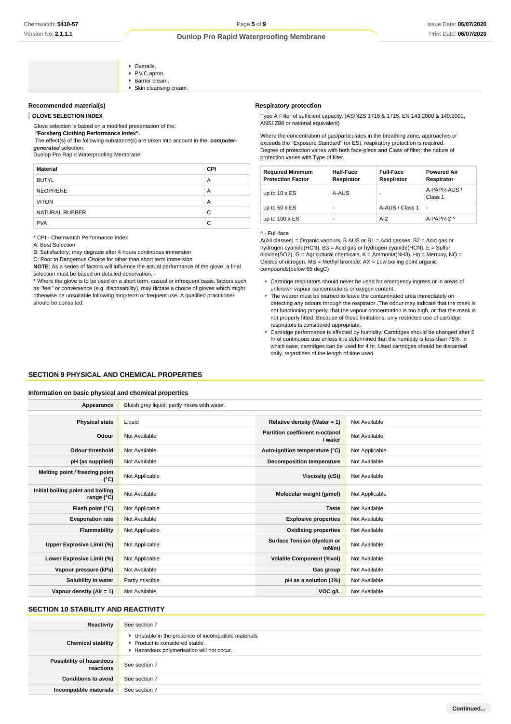- Overalls. PVC apron. Barrier cream.
- Skin cleansing cream.

### **Recommended material(s)**

**GLOVE SELECTION INDEX**

Glove selection is based on a modified presentation of the:

 **"Forsberg Clothing Performance Index".**

 The effect(s) of the following substance(s) are taken into account in the **computergenerated** selection:

Dunlop Pro Rapid Waterproofing Membrane

| <b>Material</b> | <b>CPI</b> |
|-----------------|------------|
| <b>BUTYL</b>    | A          |
| <b>NEOPRENE</b> | A          |
| <b>VITON</b>    | A          |
| NATURAL RUBBER  | C          |
| <b>PVA</b>      | C          |

\* CPI - Chemwatch Performance Index

A: Best Selection

B: Satisfactory; may degrade after 4 hours continuous immersion

C: Poor to Dangerous Choice for other than short term immersion

**NOTE**: As a series of factors will influence the actual performance of the glove, a final selection must be based on detailed observation. -

\* Where the glove is to be used on a short term, casual or infrequent basis, factors such as "feel" or convenience (e.g. disposability), may dictate a choice of gloves which might otherwise be unsuitable following long-term or frequent use. A qualified practitioner should be consulted.

#### **Respiratory protection**

Type A Filter of sufficient capacity. (AS/NZS 1716 & 1715, EN 143:2000 & 149:2001, ANSI Z88 or national equivalent)

Where the concentration of gas/particulates in the breathing zone, approaches or exceeds the "Exposure Standard" (or ES), respiratory protection is required. Degree of protection varies with both face-piece and Class of filter; the nature of protection varies with Type of filter.

| <b>Required Minimum</b><br><b>Protection Factor</b> | Half-Face<br>Respirator | <b>Full-Face</b><br>Respirator | <b>Powered Air</b><br>Respirator |
|-----------------------------------------------------|-------------------------|--------------------------------|----------------------------------|
| up to $10 \times ES$                                | A-AUS                   |                                | A-PAPR-AUS /<br>Class 1          |
| up to $50 \times ES$                                | -                       | A-AUS / Class 1                | $\overline{a}$                   |
| up to $100 \times ES$                               | -                       | $A-2$                          | A-PAPR-2 ^                       |

#### ^ - Full-face

A(All classes) = Organic vapours, B AUS or B1 = Acid gasses, B2 = Acid gas or hydrogen cyanide(HCN), B3 = Acid gas or hydrogen cyanide(HCN), E = Sulfur dioxide(SO2), G = Agricultural chemicals, K = Ammonia(NH3), Hg = Mercury, NO = Oxides of nitrogen,  $MB =$  Methyl bromide,  $AX =$  Low boiling point organic compounds(below 65 degC)

- Cartridge respirators should never be used for emergency ingress or in areas of unknown vapour concentrations or oxygen content.
- ▶ The wearer must be warned to leave the contaminated area immediately on detecting any odours through the respirator. The odour may indicate that the mask is not functioning properly, that the vapour concentration is too high, or that the mask is not properly fitted. Because of these limitations, only restricted use of cartridge respirators is considered appropriate.
- Cartridge performance is affected by humidity. Cartridges should be changed after 2 hr of continuous use unless it is determined that the humidity is less than 75%, in which case, cartridges can be used for 4 hr. Used cartridges should be discarded daily, regardless of the length of time used

### **SECTION 9 PHYSICAL AND CHEMICAL PROPERTIES**

#### **Information on basic physical and chemical properties**

| Appearance                                      | Bluish grey liquid; partly mixes with water. |                                            |                |
|-------------------------------------------------|----------------------------------------------|--------------------------------------------|----------------|
|                                                 |                                              |                                            |                |
| <b>Physical state</b>                           | Liquid                                       | Relative density (Water = 1)               | Not Available  |
| Odour                                           | Not Available                                | Partition coefficient n-octanol<br>/ water | Not Available  |
| <b>Odour threshold</b>                          | Not Available                                | Auto-ignition temperature (°C)             | Not Applicable |
| pH (as supplied)                                | Not Available                                | <b>Decomposition temperature</b>           | Not Available  |
| Melting point / freezing point<br>(°C)          | Not Applicable                               | Viscosity (cSt)                            | Not Available  |
| Initial boiling point and boiling<br>range (°C) | Not Available                                | Molecular weight (g/mol)                   | Not Applicable |
| Flash point (°C)                                | Not Applicable                               | <b>Taste</b>                               | Not Available  |
| <b>Evaporation rate</b>                         | Not Available                                | <b>Explosive properties</b>                | Not Available  |
| Flammability                                    | Not Applicable                               | <b>Oxidising properties</b>                | Not Available  |
| Upper Explosive Limit (%)                       | Not Applicable                               | Surface Tension (dyn/cm or<br>$mN/m$ )     | Not Available  |
| Lower Explosive Limit (%)                       | Not Applicable                               | <b>Volatile Component (%vol)</b>           | Not Available  |
| Vapour pressure (kPa)                           | Not Available                                | Gas group                                  | Not Available  |
| Solubility in water                             | Partly miscible                              | pH as a solution (1%)                      | Not Available  |
| Vapour density $(Air = 1)$                      | Not Available                                | VOC g/L                                    | Not Available  |

### **SECTION 10 STABILITY AND REACTIVITY**

| Reactivity                            | See section 7                                                                                                                        |
|---------------------------------------|--------------------------------------------------------------------------------------------------------------------------------------|
| <b>Chemical stability</b>             | • Unstable in the presence of incompatible materials.<br>▶ Product is considered stable.<br>Hazardous polymerisation will not occur. |
| Possibility of hazardous<br>reactions | See section 7                                                                                                                        |
| <b>Conditions to avoid</b>            | See section 7                                                                                                                        |
| Incompatible materials                | See section 7                                                                                                                        |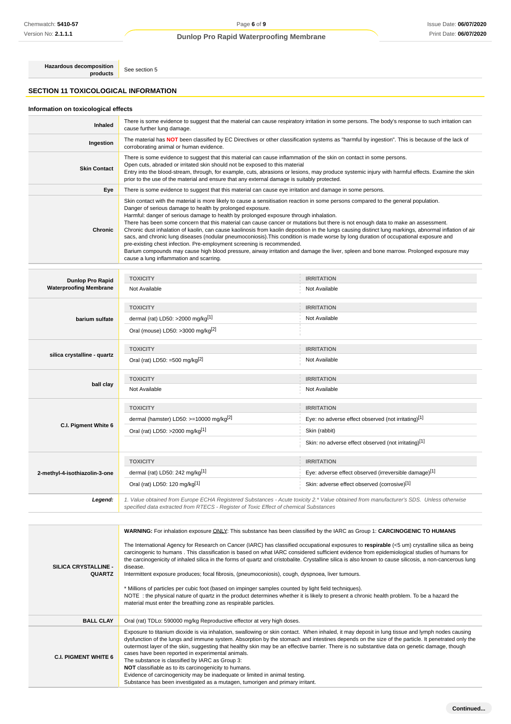**Hazardous decomposition**<br> **products** See section 5

## **SECTION 11 TOXICOLOGICAL INFORMATION**

### **Information on toxicological effects**

| Inhaled             | There is some evidence to suggest that the material can cause respiratory irritation in some persons. The body's response to such irritation can<br>cause further lung damage.                                                                                                                                                                                                                                                                                                                                                                                                                                                                                                                                                                                                                                                                                                                                                                                                                |
|---------------------|-----------------------------------------------------------------------------------------------------------------------------------------------------------------------------------------------------------------------------------------------------------------------------------------------------------------------------------------------------------------------------------------------------------------------------------------------------------------------------------------------------------------------------------------------------------------------------------------------------------------------------------------------------------------------------------------------------------------------------------------------------------------------------------------------------------------------------------------------------------------------------------------------------------------------------------------------------------------------------------------------|
| Ingestion           | The material has NOT been classified by EC Directives or other classification systems as "harmful by ingestion". This is because of the lack of<br>corroborating animal or human evidence.                                                                                                                                                                                                                                                                                                                                                                                                                                                                                                                                                                                                                                                                                                                                                                                                    |
| <b>Skin Contact</b> | There is some evidence to suggest that this material can cause inflammation of the skin on contact in some persons.<br>Open cuts, abraded or irritated skin should not be exposed to this material<br>Entry into the blood-stream, through, for example, cuts, abrasions or lesions, may produce systemic injury with harmful effects. Examine the skin<br>prior to the use of the material and ensure that any external damage is suitably protected.                                                                                                                                                                                                                                                                                                                                                                                                                                                                                                                                        |
| Eye                 | There is some evidence to suggest that this material can cause eye irritation and damage in some persons.                                                                                                                                                                                                                                                                                                                                                                                                                                                                                                                                                                                                                                                                                                                                                                                                                                                                                     |
| Chronic             | Skin contact with the material is more likely to cause a sensitisation reaction in some persons compared to the general population.<br>Danger of serious damage to health by prolonged exposure.<br>Harmful: danger of serious damage to health by prolonged exposure through inhalation.<br>There has been some concern that this material can cause cancer or mutations but there is not enough data to make an assessment.<br>Chronic dust inhalation of kaolin, can cause kaolinosis from kaolin deposition in the lungs causing distinct lung markings, abnormal inflation of air<br>sacs, and chronic lung diseases (nodular pneumoconiosis). This condition is made worse by long duration of occupational exposure and<br>pre-existing chest infection. Pre-employment screening is recommended.<br>Barium compounds may cause high blood pressure, airway irritation and damage the liver, spleen and bone marrow. Prolonged exposure may<br>cause a lung inflammation and scarring. |
|                     |                                                                                                                                                                                                                                                                                                                                                                                                                                                                                                                                                                                                                                                                                                                                                                                                                                                                                                                                                                                               |
| Dunlon Pro Ranid    | <b>TOXICITY</b><br><b>IRRITATION</b>                                                                                                                                                                                                                                                                                                                                                                                                                                                                                                                                                                                                                                                                                                                                                                                                                                                                                                                                                          |

| <b>Dunlop Pro Rapid</b>       | TOXIGH Y                                                                                                                                                                                                                        | <b>IKKITATION</b>                                     |  |
|-------------------------------|---------------------------------------------------------------------------------------------------------------------------------------------------------------------------------------------------------------------------------|-------------------------------------------------------|--|
| <b>Waterproofing Membrane</b> | Not Available                                                                                                                                                                                                                   | Not Available                                         |  |
|                               | <b>TOXICITY</b>                                                                                                                                                                                                                 | <b>IRRITATION</b>                                     |  |
| barium sulfate                | dermal (rat) LD50: >2000 mg/kg <sup>[1]</sup>                                                                                                                                                                                   | Not Available                                         |  |
|                               | Oral (mouse) LD50: >3000 mg/kg <sup>[2]</sup>                                                                                                                                                                                   |                                                       |  |
|                               | <b>TOXICITY</b>                                                                                                                                                                                                                 | <b>IRRITATION</b>                                     |  |
| silica crystalline - quartz   | Oral (rat) LD50: =500 mg/kg $[2]$                                                                                                                                                                                               | Not Available                                         |  |
|                               | <b>TOXICITY</b>                                                                                                                                                                                                                 | <b>IRRITATION</b>                                     |  |
| ball clay                     | Not Available                                                                                                                                                                                                                   | Not Available                                         |  |
|                               | <b>TOXICITY</b>                                                                                                                                                                                                                 | <b>IRRITATION</b>                                     |  |
|                               | dermal (hamster) LD50: $>=10000$ mg/kg <sup>[2]</sup>                                                                                                                                                                           | Eye: no adverse effect observed (not irritating)[1]   |  |
| C.I. Pigment White 6          | Oral (rat) LD50: >2000 mg/kg[1]                                                                                                                                                                                                 | Skin (rabbit)                                         |  |
|                               |                                                                                                                                                                                                                                 | Skin: no adverse effect observed (not irritating)[1]  |  |
|                               | <b>TOXICITY</b>                                                                                                                                                                                                                 | <b>IRRITATION</b>                                     |  |
| 2-methyl-4-isothiazolin-3-one | dermal (rat) LD50: 242 mg/kg[1]                                                                                                                                                                                                 | Eye: adverse effect observed (irreversible damage)[1] |  |
|                               | Oral (rat) LD50: 120 mg/kg[1]                                                                                                                                                                                                   | Skin: adverse effect observed (corrosive)[1]          |  |
| Legend:                       | 1. Value obtained from Europe ECHA Registered Substances - Acute toxicity 2.* Value obtained from manufacturer's SDS. Unless otherwise<br>specified data extracted from RTECS - Register of Toxic Effect of chemical Substances |                                                       |  |

| <b>SILICA CRYSTALLINE -</b><br><b>QUARTZ</b> | WARNING: For inhalation exposure ONLY: This substance has been classified by the IARC as Group 1: CARCINOGENIC TO HUMANS<br>The International Agency for Research on Cancer (IARC) has classified occupational exposures to respirable (<5 um) crystalline silica as being<br>carcinogenic to humans. This classification is based on what IARC considered sufficient evidence from epidemiological studies of humans for<br>the carcinogenicity of inhaled silica in the forms of quartz and cristobalite. Crystalline silica is also known to cause silicosis, a non-cancerous lung<br>disease.<br>Intermittent exposure produces; focal fibrosis, (pneumoconiosis), cough, dyspnoea, liver tumours.<br>* Millions of particles per cubic foot (based on impinger samples counted by light field techniques).<br>NOTE: the physical nature of quartz in the product determines whether it is likely to present a chronic health problem. To be a hazard the<br>material must enter the breathing zone as respirable particles. |
|----------------------------------------------|----------------------------------------------------------------------------------------------------------------------------------------------------------------------------------------------------------------------------------------------------------------------------------------------------------------------------------------------------------------------------------------------------------------------------------------------------------------------------------------------------------------------------------------------------------------------------------------------------------------------------------------------------------------------------------------------------------------------------------------------------------------------------------------------------------------------------------------------------------------------------------------------------------------------------------------------------------------------------------------------------------------------------------|
| <b>BALL CLAY</b>                             | Oral (rat) TDLo: 590000 mg/kg Reproductive effector at very high doses.                                                                                                                                                                                                                                                                                                                                                                                                                                                                                                                                                                                                                                                                                                                                                                                                                                                                                                                                                          |
| <b>C.I. PIGMENT WHITE 6</b>                  | Exposure to titanium dioxide is via inhalation, swallowing or skin contact. When inhaled, it may deposit in lung tissue and lymph nodes causing<br>dysfunction of the lungs and immune system. Absorption by the stomach and intestines depends on the size of the particle. It penetrated only the<br>outermost layer of the skin, suggesting that healthy skin may be an effective barrier. There is no substantive data on genetic damage, though<br>cases have been reported in experimental animals.<br>The substance is classified by IARC as Group 3:<br>NOT classifiable as to its carcinogenicity to humans.<br>Evidence of carcinogenicity may be inadequate or limited in animal testing.<br>Substance has been investigated as a mutagen, tumorigen and primary irritant.                                                                                                                                                                                                                                            |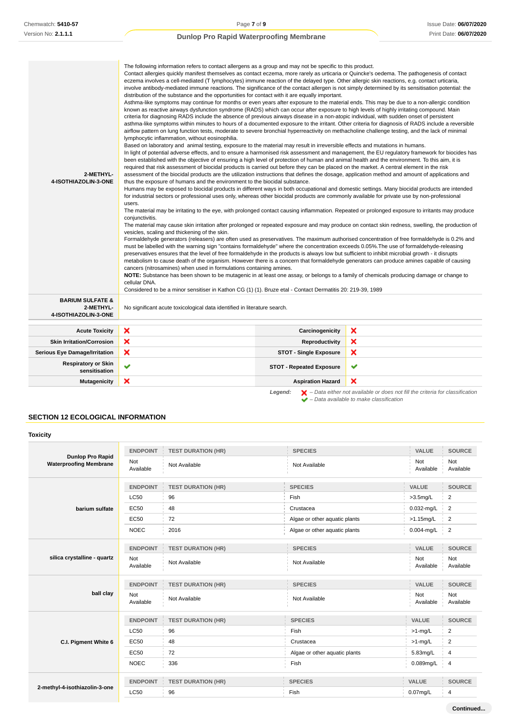|                                          | The following information refers to contact allergens as a group and may not be specific to this product.<br>Contact allergies quickly manifest themselves as contact eczema, more rarely as urticaria or Quincke's oedema. The pathogenesis of contact                                     |                                 |                                                                                                                                                  |
|------------------------------------------|---------------------------------------------------------------------------------------------------------------------------------------------------------------------------------------------------------------------------------------------------------------------------------------------|---------------------------------|--------------------------------------------------------------------------------------------------------------------------------------------------|
|                                          | eczema involves a cell-mediated (T lymphocytes) immune reaction of the delayed type. Other allergic skin reactions, e.g. contact urticaria,                                                                                                                                                 |                                 |                                                                                                                                                  |
|                                          | involve antibody-mediated immune reactions. The significance of the contact allergen is not simply determined by its sensitisation potential: the<br>distribution of the substance and the opportunities for contact with it are equally important.                                         |                                 |                                                                                                                                                  |
|                                          | Asthma-like symptoms may continue for months or even years after exposure to the material ends. This may be due to a non-allergic condition                                                                                                                                                 |                                 |                                                                                                                                                  |
|                                          | known as reactive airways dysfunction syndrome (RADS) which can occur after exposure to high levels of highly irritating compound. Main                                                                                                                                                     |                                 |                                                                                                                                                  |
|                                          | criteria for diagnosing RADS include the absence of previous airways disease in a non-atopic individual, with sudden onset of persistent                                                                                                                                                    |                                 |                                                                                                                                                  |
|                                          | asthma-like symptoms within minutes to hours of a documented exposure to the irritant. Other criteria for diagnosis of RADS include a reversible                                                                                                                                            |                                 |                                                                                                                                                  |
|                                          | airflow pattern on lung function tests, moderate to severe bronchial hyperreactivity on methacholine challenge testing, and the lack of minimal<br>lymphocytic inflammation, without eosinophilia.                                                                                          |                                 |                                                                                                                                                  |
|                                          | Based on laboratory and animal testing, exposure to the material may result in irreversible effects and mutations in humans.                                                                                                                                                                |                                 |                                                                                                                                                  |
|                                          |                                                                                                                                                                                                                                                                                             |                                 | In light of potential adverse effects, and to ensure a harmonised risk assessment and management, the EU regulatory framework for biocides has   |
|                                          | been established with the objective of ensuring a high level of protection of human and animal health and the environment. To this aim, it is                                                                                                                                               |                                 |                                                                                                                                                  |
|                                          | required that risk assessment of biocidal products is carried out before they can be placed on the market. A central element in the risk                                                                                                                                                    |                                 |                                                                                                                                                  |
| 2-METHYL-<br>4-ISOTHIAZOLIN-3-ONE        | assessment of the biocidal products are the utilization instructions that defines the dosage, application method and amount of applications and<br>thus the exposure of humans and the environment to the biocidal substance.                                                               |                                 |                                                                                                                                                  |
|                                          | Humans may be exposed to biocidal products in different ways in both occupational and domestic settings. Many biocidal products are intended                                                                                                                                                |                                 |                                                                                                                                                  |
|                                          | for industrial sectors or professional uses only, whereas other biocidal products are commonly available for private use by non-professional                                                                                                                                                |                                 |                                                                                                                                                  |
|                                          | users.                                                                                                                                                                                                                                                                                      |                                 |                                                                                                                                                  |
|                                          | The material may be irritating to the eye, with prolonged contact causing inflammation. Repeated or prolonged exposure to irritants may produce<br>conjunctivitis.                                                                                                                          |                                 |                                                                                                                                                  |
|                                          |                                                                                                                                                                                                                                                                                             |                                 | The material may cause skin irritation after prolonged or repeated exposure and may produce on contact skin redness, swelling, the production of |
|                                          | vesicles, scaling and thickening of the skin.                                                                                                                                                                                                                                               |                                 |                                                                                                                                                  |
|                                          | Formaldehyde generators (releasers) are often used as preservatives. The maximum authorised concentration of free formaldehyde is 0.2% and                                                                                                                                                  |                                 |                                                                                                                                                  |
|                                          | must be labelled with the warning sign "contains formaldehyde" where the concentration exceeds 0.05%. The use of formaldehyde-releasing<br>preservatives ensures that the level of free formaldehyde in the products is always low but sufficient to inhibit microbial growth - it disrupts |                                 |                                                                                                                                                  |
|                                          | metabolism to cause death of the organism. However there is a concern that formaldehyde generators can produce amines capable of causing                                                                                                                                                    |                                 |                                                                                                                                                  |
|                                          | cancers (nitrosamines) when used in formulations containing amines.                                                                                                                                                                                                                         |                                 |                                                                                                                                                  |
|                                          | NOTE: Substance has been shown to be mutagenic in at least one assay, or belongs to a family of chemicals producing damage or change to                                                                                                                                                     |                                 |                                                                                                                                                  |
|                                          | cellular DNA.<br>Considered to be a minor sensitiser in Kathon CG (1) (1). Bruze etal - Contact Dermatitis 20: 219-39, 1989                                                                                                                                                                 |                                 |                                                                                                                                                  |
|                                          |                                                                                                                                                                                                                                                                                             |                                 |                                                                                                                                                  |
| <b>BARIUM SULFATE &amp;</b><br>2-METHYL- | No significant acute toxicological data identified in literature search.                                                                                                                                                                                                                    |                                 |                                                                                                                                                  |
| 4-ISOTHIAZOLIN-3-ONE                     |                                                                                                                                                                                                                                                                                             |                                 |                                                                                                                                                  |
|                                          |                                                                                                                                                                                                                                                                                             |                                 |                                                                                                                                                  |
| <b>Acute Toxicity</b>                    | ×                                                                                                                                                                                                                                                                                           | Carcinogenicity                 | ×                                                                                                                                                |
| <b>Skin Irritation/Corrosion</b>         | ×                                                                                                                                                                                                                                                                                           | Reproductivity                  | ×                                                                                                                                                |
| <b>Serious Eye Damage/Irritation</b>     | ×                                                                                                                                                                                                                                                                                           | <b>STOT - Single Exposure</b>   | ×                                                                                                                                                |
| <b>Respiratory or Skin</b>               | ✔                                                                                                                                                                                                                                                                                           | <b>STOT - Repeated Exposure</b> | $\checkmark$                                                                                                                                     |
| sensitisation                            |                                                                                                                                                                                                                                                                                             |                                 |                                                                                                                                                  |
| <b>Mutagenicity</b>                      | ×                                                                                                                                                                                                                                                                                           | <b>Aspiration Hazard</b>        | ×                                                                                                                                                |

**Legend:**  $\mathbf{X}$  – Data either not available or does not fill the criteria for classification – Data available to make classification

### **SECTION 12 ECOLOGICAL INFORMATION**

| Not<br>Not<br>Not<br><b>Waterproofing Membrane</b><br>Not Available<br>Not Available<br>Available<br>Available<br><b>ENDPOINT</b><br><b>TEST DURATION (HR)</b><br><b>SPECIES</b><br>VALUE<br>$\overline{2}$<br>Fish<br>$>3.5$ mg/L<br><b>LC50</b><br>96<br>0.032-mg/L<br>$\overline{2}$<br><b>EC50</b><br>48<br>Crustacea<br>barium sulfate<br>$\overline{2}$<br><b>EC50</b><br>72<br>Algae or other aquatic plants<br>$>1.15$ mg/L<br>2016<br>$\overline{2}$<br><b>NOEC</b><br>Algae or other aquatic plants<br>$0.004$ -mg/L<br><b>ENDPOINT</b><br><b>SPECIES</b><br>VALUE<br><b>TEST DURATION (HR)</b><br>silica crystalline - quartz<br>Not<br>Not<br>Not<br>Not Available<br>Not Available<br>Available<br>Available<br><b>ENDPOINT</b><br><b>SPECIES</b><br>VALUE<br><b>TEST DURATION (HR)</b><br>ball clay<br>Not<br>Not<br>Not<br>Not Available<br>Not Available<br>Available<br>Available<br><b>ENDPOINT</b><br><b>SPECIES</b><br><b>VALUE</b><br><b>TEST DURATION (HR)</b><br>$\overline{2}$<br>Fish<br><b>LC50</b><br>96<br>$>1$ -mg/L<br>$\overline{2}$<br><b>EC50</b><br>48<br>Crustacea<br>$>1$ -mg/L<br>C.I. Pigment White 6<br><b>EC50</b><br>$\overline{4}$<br>72<br>Algae or other aquatic plants<br>5.83mg/L<br><b>NOEC</b><br>336<br>Fish<br>$0.089$ mg/L<br>$\overline{4}$<br><b>SPECIES</b><br><b>ENDPOINT</b><br><b>TEST DURATION (HR)</b><br><b>VALUE</b><br><b>LC50</b><br>96<br>Fish<br>0.07mg/L<br>4 |                  | <b>ENDPOINT</b> | <b>TEST DURATION (HR)</b> | <b>SPECIES</b> | VALUE | <b>SOURCE</b> |
|---------------------------------------------------------------------------------------------------------------------------------------------------------------------------------------------------------------------------------------------------------------------------------------------------------------------------------------------------------------------------------------------------------------------------------------------------------------------------------------------------------------------------------------------------------------------------------------------------------------------------------------------------------------------------------------------------------------------------------------------------------------------------------------------------------------------------------------------------------------------------------------------------------------------------------------------------------------------------------------------------------------------------------------------------------------------------------------------------------------------------------------------------------------------------------------------------------------------------------------------------------------------------------------------------------------------------------------------------------------------------------------------------------------------------------|------------------|-----------------|---------------------------|----------------|-------|---------------|
|                                                                                                                                                                                                                                                                                                                                                                                                                                                                                                                                                                                                                                                                                                                                                                                                                                                                                                                                                                                                                                                                                                                                                                                                                                                                                                                                                                                                                                 | Dunlop Pro Rapid |                 |                           |                |       | Available     |
|                                                                                                                                                                                                                                                                                                                                                                                                                                                                                                                                                                                                                                                                                                                                                                                                                                                                                                                                                                                                                                                                                                                                                                                                                                                                                                                                                                                                                                 |                  |                 |                           |                |       | <b>SOURCE</b> |
|                                                                                                                                                                                                                                                                                                                                                                                                                                                                                                                                                                                                                                                                                                                                                                                                                                                                                                                                                                                                                                                                                                                                                                                                                                                                                                                                                                                                                                 |                  |                 |                           |                |       |               |
|                                                                                                                                                                                                                                                                                                                                                                                                                                                                                                                                                                                                                                                                                                                                                                                                                                                                                                                                                                                                                                                                                                                                                                                                                                                                                                                                                                                                                                 |                  |                 |                           |                |       |               |
|                                                                                                                                                                                                                                                                                                                                                                                                                                                                                                                                                                                                                                                                                                                                                                                                                                                                                                                                                                                                                                                                                                                                                                                                                                                                                                                                                                                                                                 |                  |                 |                           |                |       |               |
|                                                                                                                                                                                                                                                                                                                                                                                                                                                                                                                                                                                                                                                                                                                                                                                                                                                                                                                                                                                                                                                                                                                                                                                                                                                                                                                                                                                                                                 |                  |                 |                           |                |       |               |
|                                                                                                                                                                                                                                                                                                                                                                                                                                                                                                                                                                                                                                                                                                                                                                                                                                                                                                                                                                                                                                                                                                                                                                                                                                                                                                                                                                                                                                 |                  |                 |                           |                |       | <b>SOURCE</b> |
|                                                                                                                                                                                                                                                                                                                                                                                                                                                                                                                                                                                                                                                                                                                                                                                                                                                                                                                                                                                                                                                                                                                                                                                                                                                                                                                                                                                                                                 |                  |                 |                           |                |       | Available     |
|                                                                                                                                                                                                                                                                                                                                                                                                                                                                                                                                                                                                                                                                                                                                                                                                                                                                                                                                                                                                                                                                                                                                                                                                                                                                                                                                                                                                                                 |                  |                 |                           |                |       | <b>SOURCE</b> |
| 2-methyl-4-isothiazolin-3-one                                                                                                                                                                                                                                                                                                                                                                                                                                                                                                                                                                                                                                                                                                                                                                                                                                                                                                                                                                                                                                                                                                                                                                                                                                                                                                                                                                                                   |                  |                 |                           |                |       | Available     |
|                                                                                                                                                                                                                                                                                                                                                                                                                                                                                                                                                                                                                                                                                                                                                                                                                                                                                                                                                                                                                                                                                                                                                                                                                                                                                                                                                                                                                                 |                  |                 |                           |                |       | <b>SOURCE</b> |
|                                                                                                                                                                                                                                                                                                                                                                                                                                                                                                                                                                                                                                                                                                                                                                                                                                                                                                                                                                                                                                                                                                                                                                                                                                                                                                                                                                                                                                 |                  |                 |                           |                |       |               |
|                                                                                                                                                                                                                                                                                                                                                                                                                                                                                                                                                                                                                                                                                                                                                                                                                                                                                                                                                                                                                                                                                                                                                                                                                                                                                                                                                                                                                                 |                  |                 |                           |                |       |               |
|                                                                                                                                                                                                                                                                                                                                                                                                                                                                                                                                                                                                                                                                                                                                                                                                                                                                                                                                                                                                                                                                                                                                                                                                                                                                                                                                                                                                                                 |                  |                 |                           |                |       |               |
|                                                                                                                                                                                                                                                                                                                                                                                                                                                                                                                                                                                                                                                                                                                                                                                                                                                                                                                                                                                                                                                                                                                                                                                                                                                                                                                                                                                                                                 |                  |                 |                           |                |       |               |
|                                                                                                                                                                                                                                                                                                                                                                                                                                                                                                                                                                                                                                                                                                                                                                                                                                                                                                                                                                                                                                                                                                                                                                                                                                                                                                                                                                                                                                 |                  |                 |                           |                |       | <b>SOURCE</b> |
|                                                                                                                                                                                                                                                                                                                                                                                                                                                                                                                                                                                                                                                                                                                                                                                                                                                                                                                                                                                                                                                                                                                                                                                                                                                                                                                                                                                                                                 |                  |                 |                           |                |       |               |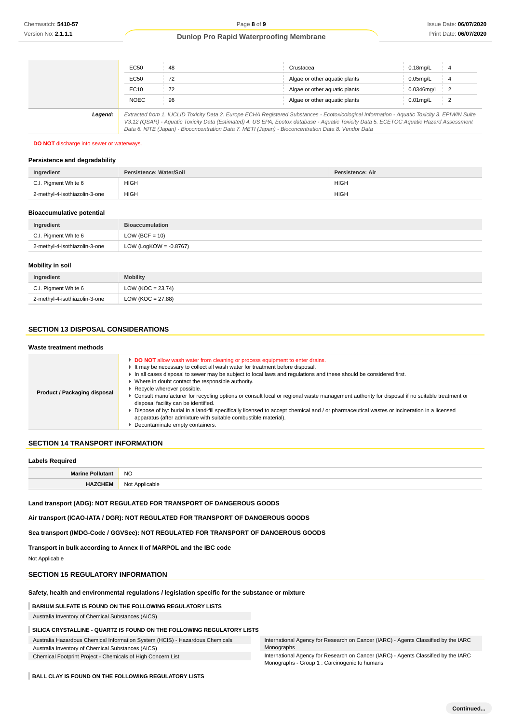|         | EC50        | 48                                                                                                                                                                                                                                                                                       | Crustacea                     | $0.18$ ma/L |               |
|---------|-------------|------------------------------------------------------------------------------------------------------------------------------------------------------------------------------------------------------------------------------------------------------------------------------------------|-------------------------------|-------------|---------------|
|         | EC50        | 72                                                                                                                                                                                                                                                                                       | Algae or other aquatic plants | $0.05$ mg/L |               |
|         | EC10        | 72                                                                                                                                                                                                                                                                                       | Algae or other aquatic plants | 0.0346ma/L  | $\frac{1}{2}$ |
|         | <b>NOEC</b> | 96                                                                                                                                                                                                                                                                                       | Algae or other aquatic plants | $0.01$ ma/L |               |
| Legend: |             | Extracted from 1. IUCLID Toxicity Data 2. Europe ECHA Registered Substances - Ecotoxicological Information - Aquatic Toxicity 3. EPIWIN Suite<br>V2 12 (OSAR) - Aquatic Tovicity Data (Estimated) A LIS ERA, Ecotov database - Aquatic Tovicity Data 5, ECETOC Aquatic Hazard Assessment |                               |             |               |

V3.12 (QSAR) - Aquatic Toxicity Data (Estimated) 4. US EPA, Ecotox database - Aquatic Toxicity Data 5. ECETOC Aquatic Hazard Assessment Data 6. NITE (Japan) - Bioconcentration Data 7. METI (Japan) - Bioconcentration Data 8. Vendor Data

#### **DO NOT** discharge into sewer or waterways.

#### **Persistence and degradability**

| Ingredient                     | Persistence: Water/Soil | Persistence: Air |
|--------------------------------|-------------------------|------------------|
| l. Piament White 6<br>- C.I. . | <b>HIGH</b>             | <b>HIGH</b>      |
| 2-methyl-4-isothiazolin-3-one  | <b>HIGH</b>             | <b>HIGH</b>      |

#### **Bioaccumulative potential**

| Ingredient                    | <b>Bioaccumulation</b>    |
|-------------------------------|---------------------------|
| C.I. Pigment White 6          | LOW (BCF = $10$ )         |
| 2-methyl-4-isothiazolin-3-one | LOW (LogKOW = $-0.8767$ ) |

#### **Mobility in soil**

| Ingredient                    | <b>Mobility</b>       |
|-------------------------------|-----------------------|
| C.I. Pigment White 6          | LOW ( $KOC = 23.74$ ) |
| 2-methyl-4-isothiazolin-3-one | $LOW (KOC = 27.88)$   |

### **SECTION 13 DISPOSAL CONSIDERATIONS**

#### **Waste treatment methods**

| Product / Packaging disposal | ► DO NOT allow wash water from cleaning or process equipment to enter drains.<br>It may be necessary to collect all wash water for treatment before disposal.<br>In all cases disposal to sewer may be subject to local laws and regulations and these should be considered first.<br>• Where in doubt contact the responsible authority.<br>Recycle wherever possible.<br>Consult manufacturer for recycling options or consult local or regional waste management authority for disposal if no suitable treatment or<br>disposal facility can be identified.<br>Dispose of by: burial in a land-fill specifically licensed to accept chemical and / or pharmaceutical wastes or incineration in a licensed<br>apparatus (after admixture with suitable combustible material).<br>Decontaminate empty containers. |
|------------------------------|--------------------------------------------------------------------------------------------------------------------------------------------------------------------------------------------------------------------------------------------------------------------------------------------------------------------------------------------------------------------------------------------------------------------------------------------------------------------------------------------------------------------------------------------------------------------------------------------------------------------------------------------------------------------------------------------------------------------------------------------------------------------------------------------------------------------|

#### **SECTION 14 TRANSPORT INFORMATION**

#### **Labels Required**

| --------------- |                                    |
|-----------------|------------------------------------|
|                 | <b>NO</b>                          |
| $\cdots$        | : Applicable<br>$N - 1$<br>1 Y U L |

**Land transport (ADG): NOT REGULATED FOR TRANSPORT OF DANGEROUS GOODS**

**Air transport (ICAO-IATA / DGR): NOT REGULATED FOR TRANSPORT OF DANGEROUS GOODS**

**Sea transport (IMDG-Code / GGVSee): NOT REGULATED FOR TRANSPORT OF DANGEROUS GOODS**

**Transport in bulk according to Annex II of MARPOL and the IBC code**

Not Applicable

#### **SECTION 15 REGULATORY INFORMATION**

## **Safety, health and environmental regulations / legislation specific for the substance or mixture**

**BARIUM SULFATE IS FOUND ON THE FOLLOWING REGULATORY LISTS**

Australia Inventory of Chemical Substances (AICS)

### **SILICA CRYSTALLINE - QUARTZ IS FOUND ON THE FOLLOWING REGULATORY LISTS**

Australia Hazardous Chemical Information System (HCIS) - Hazardous Chemicals

Australia Inventory of Chemical Substances (AICS)

Chemical Footprint Project - Chemicals of High Concern List

International Agency for Research on Cancer (IARC) - Agents Classified by the IARC Monographs

International Agency for Research on Cancer (IARC) - Agents Classified by the IARC Monographs - Group 1 : Carcinogenic to humans

**BALL CLAY IS FOUND ON THE FOLLOWING REGULATORY LISTS**